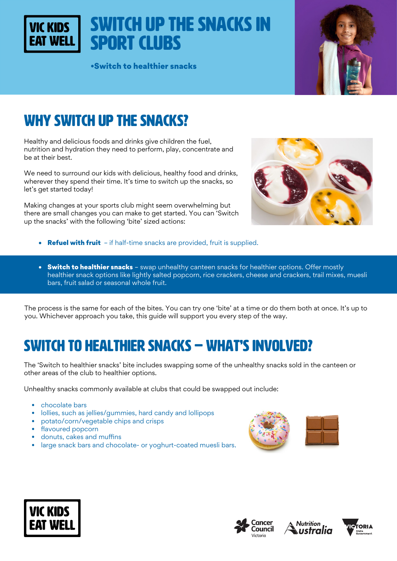Switch up the snacks in Sport Clubs

•Switch to healthier snacks



# WHY SWITCH UP THE SNACKS?

**VIC KIDS** 

Healthy and delicious foods and drinks give children the fuel, nutrition and hydration they need to perform, play, concentrate and be at their best.

We need to surround our kids with delicious, healthy food and drinks, wherever they spend their time. It's time to switch up the snacks, so let's get started today!

Making changes at your sports club might seem overwhelming but there are small changes you can make to get started. You can 'Switch up the snacks' with the following 'bite' sized actions:



- Refuel with fruit if half-time snacks are provided, fruit is supplied.
- Switch to healthier snacks swap unhealthy canteen snacks for healthier options. Offer mostly healthier snack options like lightly salted popcorn, rice crackers, cheese and crackers, trail mixes, muesli bars, fruit salad or seasonal whole fruit.

The process is the same for each of the bites. You can try one 'bite' at a time or do them both at once. It's up to you. Whichever approach you take, this guide will support you every step of the way.

# Switch to healthier snacks – WHAT'S INVOLVED?

The 'Switch to healthier snacks' bite includes swapping some of the unhealthy snacks sold in the canteen or other areas of the club to healthier options.

Unhealthy snacks commonly available at clubs that could be swapped out include:

- chocolate bars
- lollies, such as jellies/gummies, hard candy and lollipops
- potato/corn/vegetable chips and crisps
- flavoured popcorn
- donuts, cakes and muffins
- large snack bars and chocolate- or yoghurt-coated muesli bars.









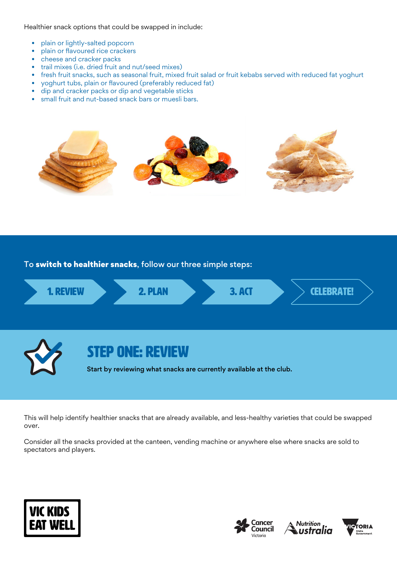Healthier snack options that could be swapped in include:

- plain or lightly-salted popcorn
- plain or flavoured rice crackers
- cheese and cracker packs
- trail mixes (i.e. dried fruit and nut/seed mixes)
- fresh fruit snacks, such as seasonal fruit, mixed fruit salad or fruit kebabs served with reduced fat yoghurt
- yoghurt tubs, plain or flavoured (preferably reduced fat)
- dip and cracker packs or dip and vegetable sticks
- small fruit and nut-based snack bars or muesli bars.



To switch to healthier snacks, follow our three simple steps:



This will help identify healthier snacks that are already available, and less-healthy varieties that could be swapped over.

Consider all the snacks provided at the canteen, vending machine or anywhere else where snacks are sold to spectators and players.







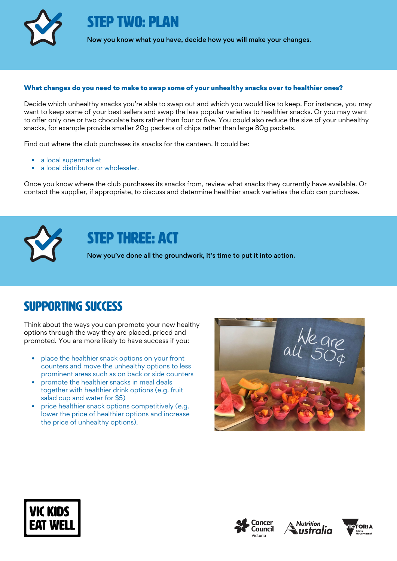

STEP TWO: PLAN

Now you know what you have, decide how you will make your changes.

#### What changes do you need to make to swap some of your unhealthy snacks over to healthier ones?

Decide which unhealthy snacks you're able to swap out and which you would like to keep. For instance, you may want to keep some of your best sellers and swap the less popular varieties to healthier snacks. Or you may want to offer only one or two chocolate bars rather than four or five. You could also reduce the size of your unhealthy snacks, for example provide smaller 20g packets of chips rather than large 80g packets.

Find out where the club purchases its snacks for the canteen. It could be:

- a local supermarket
- a local distributor or wholesaler.

Once you know where the club purchases its snacks from, review what snacks they currently have available. Or contact the supplier, if appropriate, to discuss and determine healthier snack varieties the club can purchase.



## STEP THREE: ACT

Now you've done all the groundwork, it's time to put it into action.

### Supporting success

Think about the ways you can promote your new healthy options through the way they are placed, priced and promoted. You are more likely to have success if you:

- place the healthier snack options on your front counters and move the unhealthy options to less prominent areas such as on back or side counters
- promote the healthier snacks in meal deals together with healthier drink options (e.g. fruit salad cup and water for \$5)
- price healthier snack options competitively (e.g. lower the price of healthier options and increase the price of unhealthy options).